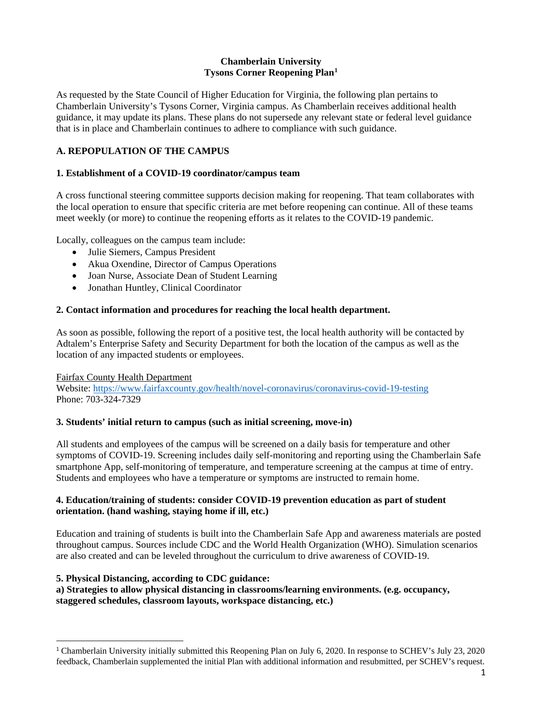# **Chamberlain University Tysons Corner Reopening Plan[1](#page-0-0)**

As requested by the State Council of Higher Education for Virginia, the following plan pertains to Chamberlain University's Tysons Corner, Virginia campus. As Chamberlain receives additional health guidance, it may update its plans. These plans do not supersede any relevant state or federal level guidance that is in place and Chamberlain continues to adhere to compliance with such guidance.

# **A. REPOPULATION OF THE CAMPUS**

## **1. Establishment of a COVID-19 coordinator/campus team**

A cross functional steering committee supports decision making for reopening. That team collaborates with the local operation to ensure that specific criteria are met before reopening can continue. All of these teams meet weekly (or more) to continue the reopening efforts as it relates to the COVID-19 pandemic.

Locally, colleagues on the campus team include:

- Julie Siemers, Campus President
- Akua Oxendine, Director of Campus Operations
- Joan Nurse, Associate Dean of Student Learning
- Jonathan Huntley, Clinical Coordinator

### **2. Contact information and procedures for reaching the local health department.**

As soon as possible, following the report of a positive test, the local health authority will be contacted by Adtalem's Enterprise Safety and Security Department for both the location of the campus as well as the location of any impacted students or employees.

#### Fairfax County Health Department

Website:<https://www.fairfaxcounty.gov/health/novel-coronavirus/coronavirus-covid-19-testing> Phone: [703-324-7329](tel:703-324-7329)

#### **3. Students' initial return to campus (such as initial screening, move-in)**

All students and employees of the campus will be screened on a daily basis for temperature and other symptoms of COVID-19. Screening includes daily self-monitoring and reporting using the Chamberlain Safe smartphone App, self-monitoring of temperature, and temperature screening at the campus at time of entry. Students and employees who have a temperature or symptoms are instructed to remain home.

### **4. Education/training of students: consider COVID-19 prevention education as part of student orientation. (hand washing, staying home if ill, etc.)**

Education and training of students is built into the Chamberlain Safe App and awareness materials are posted throughout campus. Sources include CDC and the World Health Organization (WHO). Simulation scenarios are also created and can be leveled throughout the curriculum to drive awareness of COVID-19.

## **5. Physical Distancing, according to CDC guidance:**

**a) Strategies to allow physical distancing in classrooms/learning environments. (e.g. occupancy, staggered schedules, classroom layouts, workspace distancing, etc.)** 

<span id="page-0-0"></span><sup>&</sup>lt;sup>1</sup> Chamberlain University initially submitted this Reopening Plan on July 6, 2020. In response to SCHEV's July 23, 2020 feedback, Chamberlain supplemented the initial Plan with additional information and resubmitted, per SCHEV's request.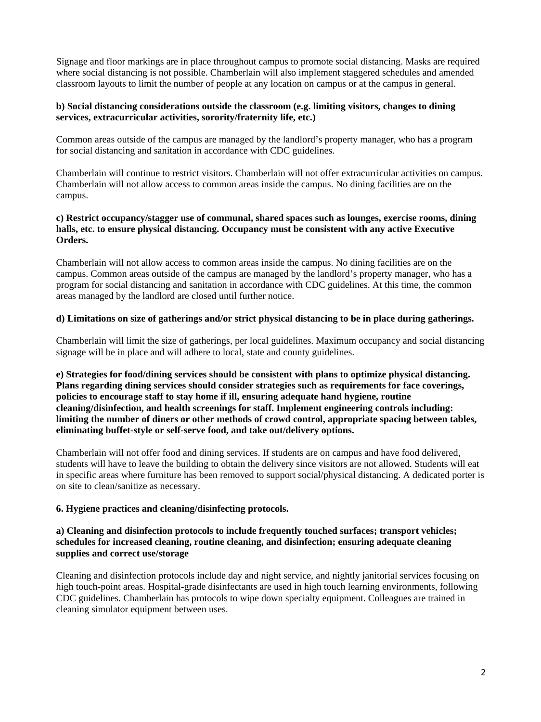Signage and floor markings are in place throughout campus to promote social distancing. Masks are required where social distancing is not possible. Chamberlain will also implement staggered schedules and amended classroom layouts to limit the number of people at any location on campus or at the campus in general.

## **b) Social distancing considerations outside the classroom (e.g. limiting visitors, changes to dining services, extracurricular activities, sorority/fraternity life, etc.)**

Common areas outside of the campus are managed by the landlord's property manager, who has a program for social distancing and sanitation in accordance with CDC guidelines.

Chamberlain will continue to restrict visitors. Chamberlain will not offer extracurricular activities on campus. Chamberlain will not allow access to common areas inside the campus. No dining facilities are on the campus.

## **c) Restrict occupancy/stagger use of communal, shared spaces such as lounges, exercise rooms, dining halls, etc. to ensure physical distancing. Occupancy must be consistent with any active Executive Orders.**

Chamberlain will not allow access to common areas inside the campus. No dining facilities are on the campus. Common areas outside of the campus are managed by the landlord's property manager, who has a program for social distancing and sanitation in accordance with CDC guidelines. At this time, the common areas managed by the landlord are closed until further notice.

## **d) Limitations on size of gatherings and/or strict physical distancing to be in place during gatherings.**

Chamberlain will limit the size of gatherings, per local guidelines. Maximum occupancy and social distancing signage will be in place and will adhere to local, state and county guidelines.

**e) Strategies for food/dining services should be consistent with plans to optimize physical distancing. Plans regarding dining services should consider strategies such as requirements for face coverings, policies to encourage staff to stay home if ill, ensuring adequate hand hygiene, routine cleaning/disinfection, and health screenings for staff. Implement engineering controls including: limiting the number of diners or other methods of crowd control, appropriate spacing between tables, eliminating buffet-style or self-serve food, and take out/delivery options.** 

Chamberlain will not offer food and dining services. If students are on campus and have food delivered, students will have to leave the building to obtain the delivery since visitors are not allowed. Students will eat in specific areas where furniture has been removed to support social/physical distancing. A dedicated porter is on site to clean/sanitize as necessary.

## **6. Hygiene practices and cleaning/disinfecting protocols.**

## **a) Cleaning and disinfection protocols to include frequently touched surfaces; transport vehicles; schedules for increased cleaning, routine cleaning, and disinfection; ensuring adequate cleaning supplies and correct use/storage**

Cleaning and disinfection protocols include day and night service, and nightly janitorial services focusing on high touch-point areas. Hospital-grade disinfectants are used in high touch learning environments, following CDC guidelines. Chamberlain has protocols to wipe down specialty equipment. Colleagues are trained in cleaning simulator equipment between uses.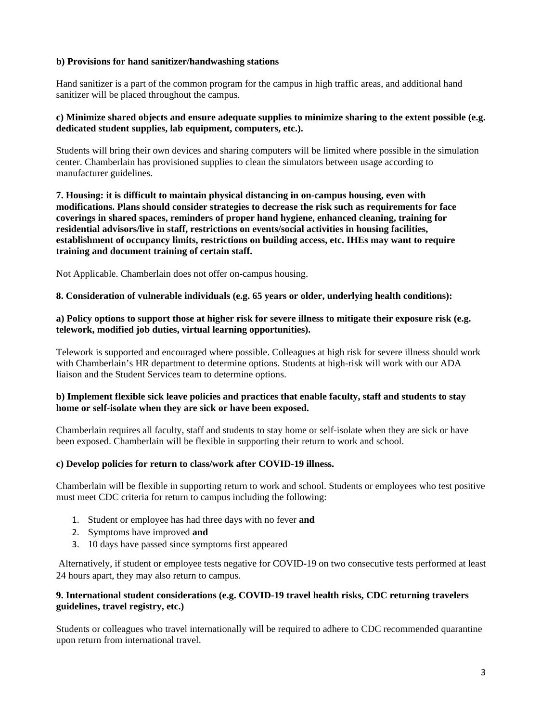## **b) Provisions for hand sanitizer/handwashing stations**

Hand sanitizer is a part of the common program for the campus in high traffic areas, and additional hand sanitizer will be placed throughout the campus.

### **c) Minimize shared objects and ensure adequate supplies to minimize sharing to the extent possible (e.g. dedicated student supplies, lab equipment, computers, etc.).**

Students will bring their own devices and sharing computers will be limited where possible in the simulation center. Chamberlain has provisioned supplies to clean the simulators between usage according to manufacturer guidelines.

**7. Housing: it is difficult to maintain physical distancing in on-campus housing, even with modifications. Plans should consider strategies to decrease the risk such as requirements for face coverings in shared spaces, reminders of proper hand hygiene, enhanced cleaning, training for residential advisors/live in staff, restrictions on events/social activities in housing facilities, establishment of occupancy limits, restrictions on building access, etc. IHEs may want to require training and document training of certain staff.** 

Not Applicable. Chamberlain does not offer on-campus housing.

### **8. Consideration of vulnerable individuals (e.g. 65 years or older, underlying health conditions):**

## **a) Policy options to support those at higher risk for severe illness to mitigate their exposure risk (e.g. telework, modified job duties, virtual learning opportunities).**

Telework is supported and encouraged where possible. Colleagues at high risk for severe illness should work with Chamberlain's HR department to determine options. Students at high-risk will work with our ADA liaison and the Student Services team to determine options.

### **b) Implement flexible sick leave policies and practices that enable faculty, staff and students to stay home or self-isolate when they are sick or have been exposed.**

Chamberlain requires all faculty, staff and students to stay home or self-isolate when they are sick or have been exposed. Chamberlain will be flexible in supporting their return to work and school.

## **c) Develop policies for return to class/work after COVID-19 illness.**

Chamberlain will be flexible in supporting return to work and school. Students or employees who test positive must meet CDC criteria for return to campus including the following:

- 1. Student or employee has had three days with no fever **and**
- 2. Symptoms have improved **and**
- 3. 10 days have passed since symptoms first appeared

Alternatively, if student or employee tests negative for COVID-19 on two consecutive tests performed at least 24 hours apart, they may also return to campus.

## **9. International student considerations (e.g. COVID-19 travel health risks, CDC returning travelers guidelines, travel registry, etc.)**

Students or colleagues who travel internationally will be required to adhere to CDC recommended quarantine upon return from international travel.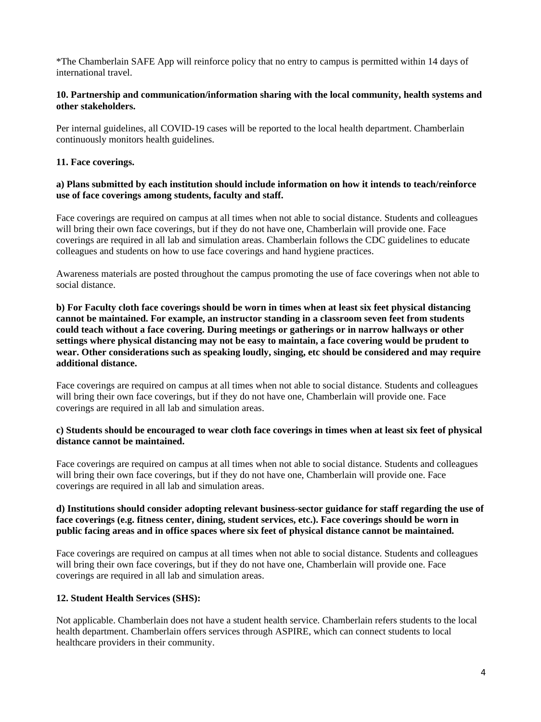\*The Chamberlain SAFE App will reinforce policy that no entry to campus is permitted within 14 days of international travel.

### **10. Partnership and communication/information sharing with the local community, health systems and other stakeholders.**

Per internal guidelines, all COVID-19 cases will be reported to the local health department. Chamberlain continuously monitors health guidelines.

#### **11. Face coverings.**

#### **a) Plans submitted by each institution should include information on how it intends to teach/reinforce use of face coverings among students, faculty and staff.**

Face coverings are required on campus at all times when not able to social distance. Students and colleagues will bring their own face coverings, but if they do not have one, Chamberlain will provide one. Face coverings are required in all lab and simulation areas. Chamberlain follows the CDC guidelines to educate colleagues and students on how to use face coverings and hand hygiene practices.

Awareness materials are posted throughout the campus promoting the use of face coverings when not able to social distance.

**b) For Faculty cloth face coverings should be worn in times when at least six feet physical distancing cannot be maintained. For example, an instructor standing in a classroom seven feet from students could teach without a face covering. During meetings or gatherings or in narrow hallways or other settings where physical distancing may not be easy to maintain, a face covering would be prudent to wear. Other considerations such as speaking loudly, singing, etc should be considered and may require additional distance.** 

Face coverings are required on campus at all times when not able to social distance. Students and colleagues will bring their own face coverings, but if they do not have one, Chamberlain will provide one. Face coverings are required in all lab and simulation areas.

### **c) Students should be encouraged to wear cloth face coverings in times when at least six feet of physical distance cannot be maintained.**

Face coverings are required on campus at all times when not able to social distance. Students and colleagues will bring their own face coverings, but if they do not have one, Chamberlain will provide one. Face coverings are required in all lab and simulation areas.

#### **d) Institutions should consider adopting relevant business-sector guidance for staff regarding the use of face coverings (e.g. fitness center, dining, student services, etc.). Face coverings should be worn in public facing areas and in office spaces where six feet of physical distance cannot be maintained.**

Face coverings are required on campus at all times when not able to social distance. Students and colleagues will bring their own face coverings, but if they do not have one, Chamberlain will provide one. Face coverings are required in all lab and simulation areas.

#### **12. Student Health Services (SHS):**

Not applicable. Chamberlain does not have a student health service. Chamberlain refers students to the local health department. Chamberlain offers services through ASPIRE, which can connect students to local healthcare providers in their community.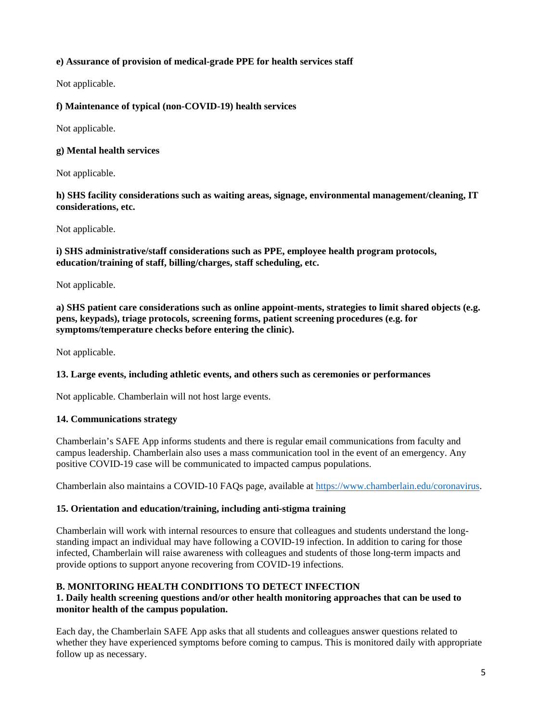# **e) Assurance of provision of medical-grade PPE for health services staff**

Not applicable.

# **f) Maintenance of typical (non-COVID-19) health services**

Not applicable.

**g) Mental health services** 

Not applicable.

**h) SHS facility considerations such as waiting areas, signage, environmental management/cleaning, IT considerations, etc.** 

Not applicable.

**i) SHS administrative/staff considerations such as PPE, employee health program protocols, education/training of staff, billing/charges, staff scheduling, etc.** 

Not applicable.

**a) SHS patient care considerations such as online appoint-ments, strategies to limit shared objects (e.g. pens, keypads), triage protocols, screening forms, patient screening procedures (e.g. for symptoms/temperature checks before entering the clinic).** 

Not applicable.

## **13. Large events, including athletic events, and others such as ceremonies or performances**

Not applicable. Chamberlain will not host large events.

# **14. Communications strategy**

Chamberlain's SAFE App informs students and there is regular email communications from faculty and campus leadership. Chamberlain also uses a mass communication tool in the event of an emergency. Any positive COVID-19 case will be communicated to impacted campus populations.

Chamberlain also maintains a COVID-10 FAQs page, available at [https://www.chamberlain.edu/coronavirus.](https://www.chamberlain.edu/coronavirus)

## **15. Orientation and education/training, including anti-stigma training**

Chamberlain will work with internal resources to ensure that colleagues and students understand the longstanding impact an individual may have following a COVID-19 infection. In addition to caring for those infected, Chamberlain will raise awareness with colleagues and students of those long-term impacts and provide options to support anyone recovering from COVID-19 infections.

# **B. MONITORING HEALTH CONDITIONS TO DETECT INFECTION**

# **1. Daily health screening questions and/or other health monitoring approaches that can be used to monitor health of the campus population.**

Each day, the Chamberlain SAFE App asks that all students and colleagues answer questions related to whether they have experienced symptoms before coming to campus. This is monitored daily with appropriate follow up as necessary.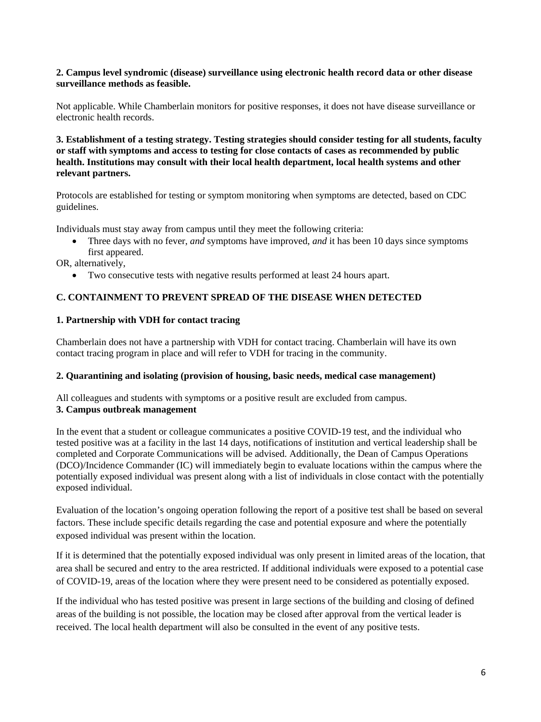## **2. Campus level syndromic (disease) surveillance using electronic health record data or other disease surveillance methods as feasible.**

Not applicable. While Chamberlain monitors for positive responses, it does not have disease surveillance or electronic health records.

**3. Establishment of a testing strategy. Testing strategies should consider testing for all students, faculty or staff with symptoms and access to testing for close contacts of cases as recommended by public health. Institutions may consult with their local health department, local health systems and other relevant partners.** 

Protocols are established for testing or symptom monitoring when symptoms are detected, based on CDC guidelines.

Individuals must stay away from campus until they meet the following criteria:

• Three days with no fever, *and* symptoms have improved, *and* it has been 10 days since symptoms first appeared.

OR, alternatively,

• Two consecutive tests with negative results performed at least 24 hours apart.

## **C. CONTAINMENT TO PREVENT SPREAD OF THE DISEASE WHEN DETECTED**

### **1. Partnership with VDH for contact tracing**

Chamberlain does not have a partnership with VDH for contact tracing. Chamberlain will have its own contact tracing program in place and will refer to VDH for tracing in the community.

#### **2. Quarantining and isolating (provision of housing, basic needs, medical case management)**

All colleagues and students with symptoms or a positive result are excluded from campus. **3. Campus outbreak management** 

In the event that a student or colleague communicates a positive COVID-19 test, and the individual who tested positive was at a facility in the last 14 days, notifications of institution and vertical leadership shall be completed and Corporate Communications will be advised. Additionally, the Dean of Campus Operations (DCO)/Incidence Commander (IC) will immediately begin to evaluate locations within the campus where the potentially exposed individual was present along with a list of individuals in close contact with the potentially exposed individual.

Evaluation of the location's ongoing operation following the report of a positive test shall be based on several factors. These include specific details regarding the case and potential exposure and where the potentially exposed individual was present within the location.

If it is determined that the potentially exposed individual was only present in limited areas of the location, that area shall be secured and entry to the area restricted. If additional individuals were exposed to a potential case of COVID-19, areas of the location where they were present need to be considered as potentially exposed.

If the individual who has tested positive was present in large sections of the building and closing of defined areas of the building is not possible, the location may be closed after approval from the vertical leader is received. The local health department will also be consulted in the event of any positive tests.